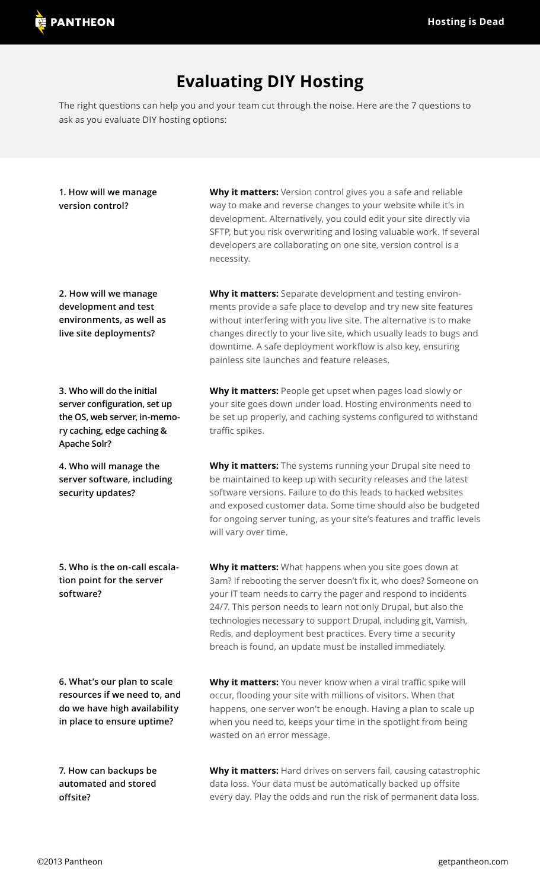## **Evaluating DIY Hosting**

The right questions can help you and your team cut through the noise. Here are the 7 questions to ask as you evaluate DIY hosting options:

| 1. How will we manage<br>version control?                                                                                                       | Why it matters: Version control gives you a safe and reliable<br>way to make and reverse changes to your website while it's in<br>development. Alternatively, you could edit your site directly via<br>SFTP, but you risk overwriting and losing valuable work. If several<br>developers are collaborating on one site, version control is a<br>necessity.                                                                                                        |
|-------------------------------------------------------------------------------------------------------------------------------------------------|-------------------------------------------------------------------------------------------------------------------------------------------------------------------------------------------------------------------------------------------------------------------------------------------------------------------------------------------------------------------------------------------------------------------------------------------------------------------|
| 2. How will we manage<br>development and test<br>environments, as well as<br>live site deployments?                                             | Why it matters: Separate development and testing environ-<br>ments provide a safe place to develop and try new site features<br>without interfering with you live site. The alternative is to make<br>changes directly to your live site, which usually leads to bugs and<br>downtime. A safe deployment workflow is also key, ensuring<br>painless site launches and feature releases.                                                                           |
| 3. Who will do the initial<br>server configuration, set up<br>the OS, web server, in-memo-<br>ry caching, edge caching &<br><b>Apache Solr?</b> | Why it matters: People get upset when pages load slowly or<br>your site goes down under load. Hosting environments need to<br>be set up properly, and caching systems configured to withstand<br>traffic spikes.                                                                                                                                                                                                                                                  |
| 4. Who will manage the<br>server software, including<br>security updates?                                                                       | Why it matters: The systems running your Drupal site need to<br>be maintained to keep up with security releases and the latest<br>software versions. Failure to do this leads to hacked websites<br>and exposed customer data. Some time should also be budgeted<br>for ongoing server tuning, as your site's features and traffic levels<br>will vary over time.                                                                                                 |
| 5. Who is the on-call escala-<br>tion point for the server<br>software?                                                                         | Why it matters: What happens when you site goes down at<br>3am? If rebooting the server doesn't fix it, who does? Someone on<br>your IT team needs to carry the pager and respond to incidents<br>24/7. This person needs to learn not only Drupal, but also the<br>technologies necessary to support Drupal, including git, Varnish,<br>Redis, and deployment best practices. Every time a security<br>breach is found, an update must be installed immediately. |
| 6. What's our plan to scale<br>resources if we need to, and<br>do we have high availability<br>in place to ensure uptime?                       | Why it matters: You never know when a viral traffic spike will<br>occur, flooding your site with millions of visitors. When that<br>happens, one server won't be enough. Having a plan to scale up<br>when you need to, keeps your time in the spotlight from being<br>wasted on an error message.                                                                                                                                                                |
| 7. How can backups be<br>automated and stored                                                                                                   | Why it matters: Hard drives on servers fail, causing catastrophic<br>data loss. Your data must be automatically backed up offsite                                                                                                                                                                                                                                                                                                                                 |

every day. Play the odds and run the risk of permanent data loss.

**offsite?**